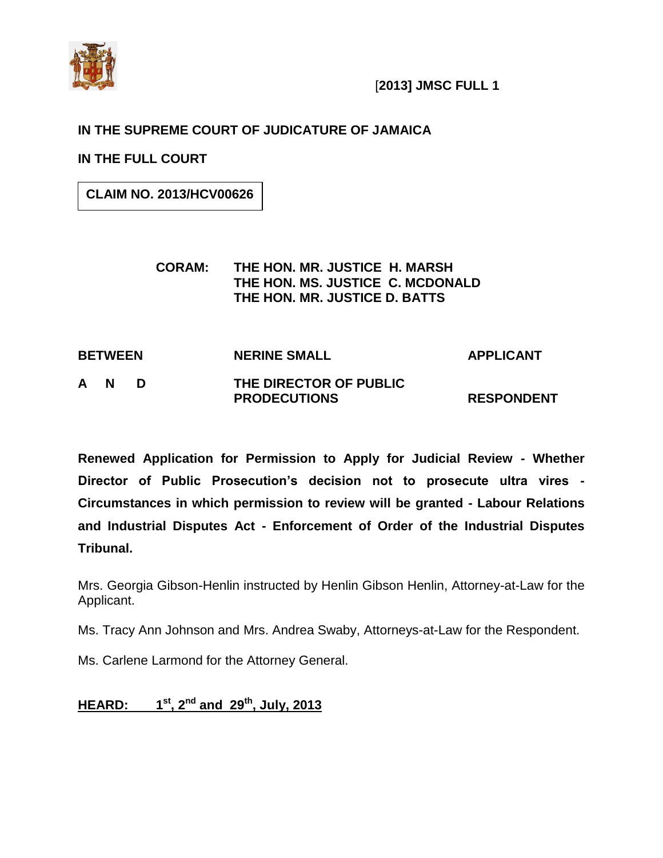

### **IN THE SUPREME COURT OF JUDICATURE OF JAMAICA**

**IN THE FULL COURT**

**CLAIM NO. 2013/HCV00626**

#### **CORAM: THE HON. MR. JUSTICE H. MARSH THE HON. MS. JUSTICE C. MCDONALD THE HON. MR. JUSTICE D. BATTS**

# **BETWEEN NERINE SMALL APPLICANT A N D THE DIRECTOR OF PUBLIC**

**Renewed Application for Permission to Apply for Judicial Review - Whether Director of Public Prosecution"s decision not to prosecute ultra vires - Circumstances in which permission to review will be granted - Labour Relations and Industrial Disputes Act - Enforcement of Order of the Industrial Disputes Tribunal.**

**PRODECUTIONS RESPONDENT**

Mrs. Georgia Gibson-Henlin instructed by Henlin Gibson Henlin, Attorney-at-Law for the Applicant.

Ms. Tracy Ann Johnson and Mrs. Andrea Swaby, Attorneys-at-Law for the Respondent.

Ms. Carlene Larmond for the Attorney General.

#### **HEARD: 1 st, 2nd and 29th , July, 2013**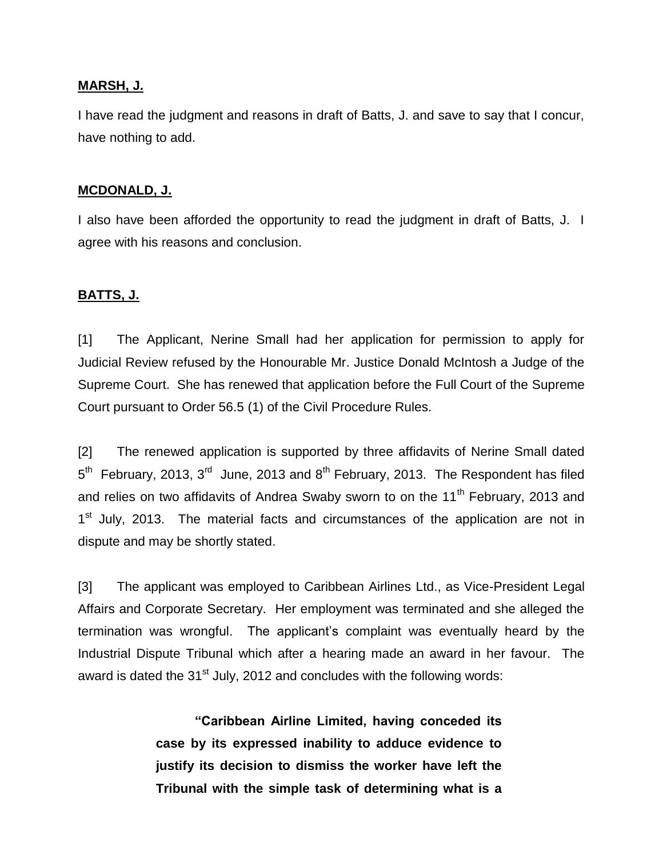#### **MARSH, J.**

I have read the judgment and reasons in draft of Batts, J. and save to say that I concur, have nothing to add.

#### **MCDONALD, J.**

I also have been afforded the opportunity to read the judgment in draft of Batts, J. I agree with his reasons and conclusion.

#### **BATTS, J.**

[1] The Applicant, Nerine Small had her application for permission to apply for Judicial Review refused by the Honourable Mr. Justice Donald McIntosh a Judge of the Supreme Court. She has renewed that application before the Full Court of the Supreme Court pursuant to Order 56.5 (1) of the Civil Procedure Rules.

[2] The renewed application is supported by three affidavits of Nerine Small dated  $5<sup>th</sup>$  February, 2013, 3<sup>rd</sup> June, 2013 and 8<sup>th</sup> February, 2013. The Respondent has filed and relies on two affidavits of Andrea Swaby sworn to on the 11<sup>th</sup> February, 2013 and 1<sup>st</sup> July, 2013. The material facts and circumstances of the application are not in dispute and may be shortly stated.

[3] The applicant was employed to Caribbean Airlines Ltd., as Vice-President Legal Affairs and Corporate Secretary. Her employment was terminated and she alleged the termination was wrongful. The applicant"s complaint was eventually heard by the Industrial Dispute Tribunal which after a hearing made an award in her favour. The award is dated the  $31<sup>st</sup>$  July, 2012 and concludes with the following words:

> **"Caribbean Airline Limited, having conceded its case by its expressed inability to adduce evidence to justify its decision to dismiss the worker have left the Tribunal with the simple task of determining what is a**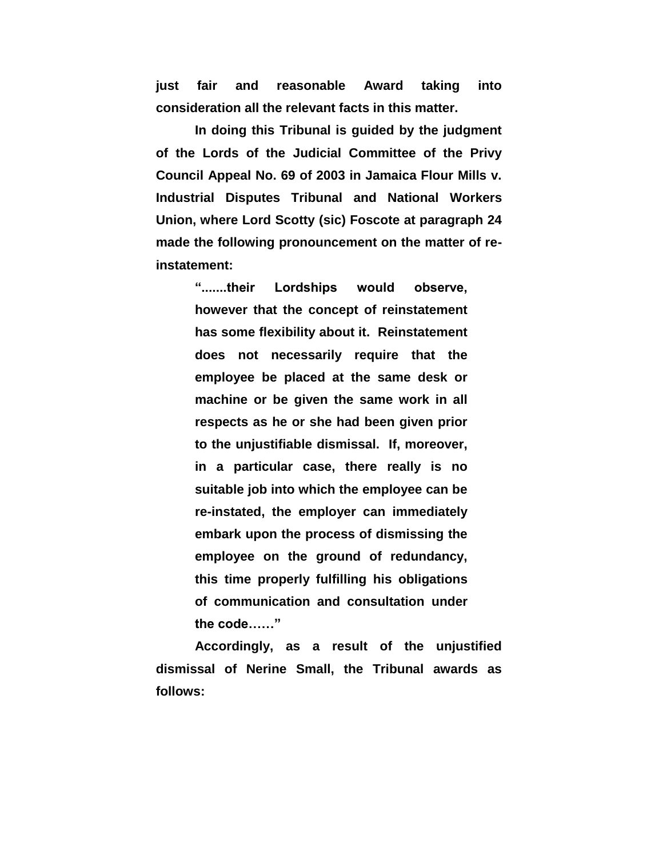**just fair and reasonable Award taking into consideration all the relevant facts in this matter.**

**In doing this Tribunal is guided by the judgment of the Lords of the Judicial Committee of the Privy Council Appeal No. 69 of 2003 in Jamaica Flour Mills v. Industrial Disputes Tribunal and National Workers Union, where Lord Scotty (sic) Foscote at paragraph 24 made the following pronouncement on the matter of reinstatement:**

> **".......their Lordships would observe, however that the concept of reinstatement has some flexibility about it. Reinstatement does not necessarily require that the employee be placed at the same desk or machine or be given the same work in all respects as he or she had been given prior to the unjustifiable dismissal. If, moreover, in a particular case, there really is no suitable job into which the employee can be re-instated, the employer can immediately embark upon the process of dismissing the employee on the ground of redundancy, this time properly fulfilling his obligations of communication and consultation under the code……"**

**Accordingly, as a result of the unjustified dismissal of Nerine Small, the Tribunal awards as follows:**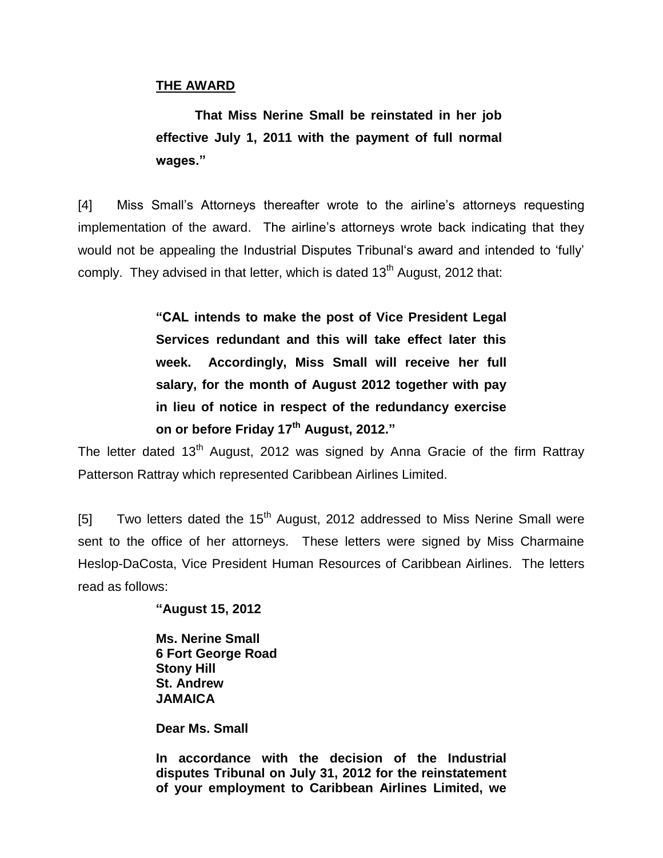#### **THE AWARD**

**That Miss Nerine Small be reinstated in her job effective July 1, 2011 with the payment of full normal wages."**

[4] Miss Small"s Attorneys thereafter wrote to the airline"s attorneys requesting implementation of the award. The airline"s attorneys wrote back indicating that they would not be appealing the Industrial Disputes Tribunal's award and intended to 'fully' comply. They advised in that letter, which is dated  $13<sup>th</sup>$  August, 2012 that:

> **"CAL intends to make the post of Vice President Legal Services redundant and this will take effect later this week. Accordingly, Miss Small will receive her full salary, for the month of August 2012 together with pay in lieu of notice in respect of the redundancy exercise on or before Friday 17th August, 2012."**

The letter dated 13<sup>th</sup> August, 2012 was signed by Anna Gracie of the firm Rattray Patterson Rattray which represented Caribbean Airlines Limited.

[5] Two letters dated the  $15<sup>th</sup>$  August, 2012 addressed to Miss Nerine Small were sent to the office of her attorneys. These letters were signed by Miss Charmaine Heslop-DaCosta, Vice President Human Resources of Caribbean Airlines. The letters read as follows:

**"August 15, 2012**

**Ms. Nerine Small 6 Fort George Road Stony Hill St. Andrew JAMAICA**

**Dear Ms. Small**

**In accordance with the decision of the Industrial disputes Tribunal on July 31, 2012 for the reinstatement of your employment to Caribbean Airlines Limited, we**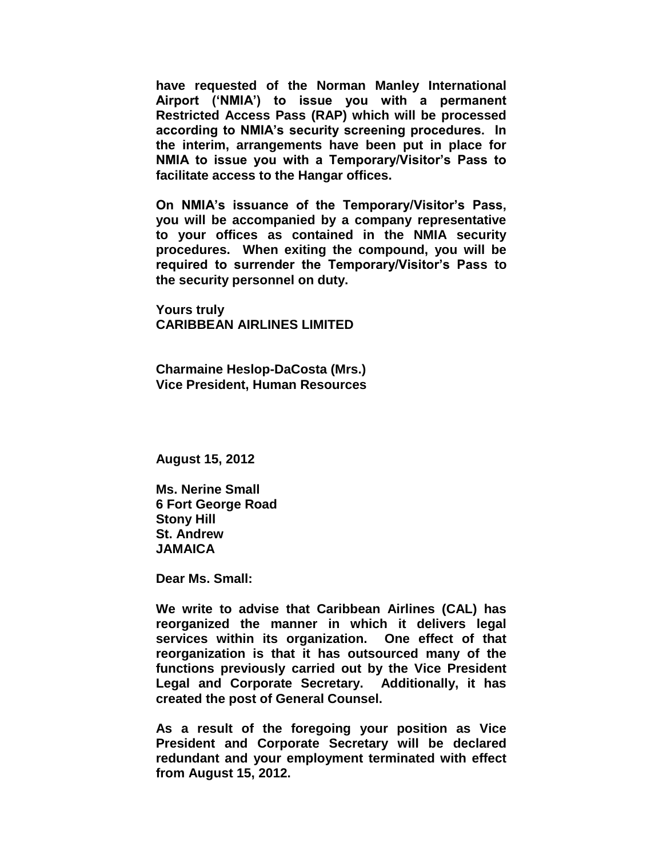**have requested of the Norman Manley International Airport ("NMIA") to issue you with a permanent Restricted Access Pass (RAP) which will be processed according to NMIA"s security screening procedures. In the interim, arrangements have been put in place for NMIA to issue you with a Temporary/Visitor"s Pass to facilitate access to the Hangar offices.**

**On NMIA"s issuance of the Temporary/Visitor"s Pass, you will be accompanied by a company representative to your offices as contained in the NMIA security procedures. When exiting the compound, you will be required to surrender the Temporary/Visitor"s Pass to the security personnel on duty.**

**Yours truly CARIBBEAN AIRLINES LIMITED**

**Charmaine Heslop-DaCosta (Mrs.) Vice President, Human Resources**

**August 15, 2012**

**Ms. Nerine Small 6 Fort George Road Stony Hill St. Andrew JAMAICA**

**Dear Ms. Small:**

**We write to advise that Caribbean Airlines (CAL) has reorganized the manner in which it delivers legal services within its organization. One effect of that reorganization is that it has outsourced many of the functions previously carried out by the Vice President Legal and Corporate Secretary. Additionally, it has created the post of General Counsel.**

**As a result of the foregoing your position as Vice President and Corporate Secretary will be declared redundant and your employment terminated with effect from August 15, 2012.**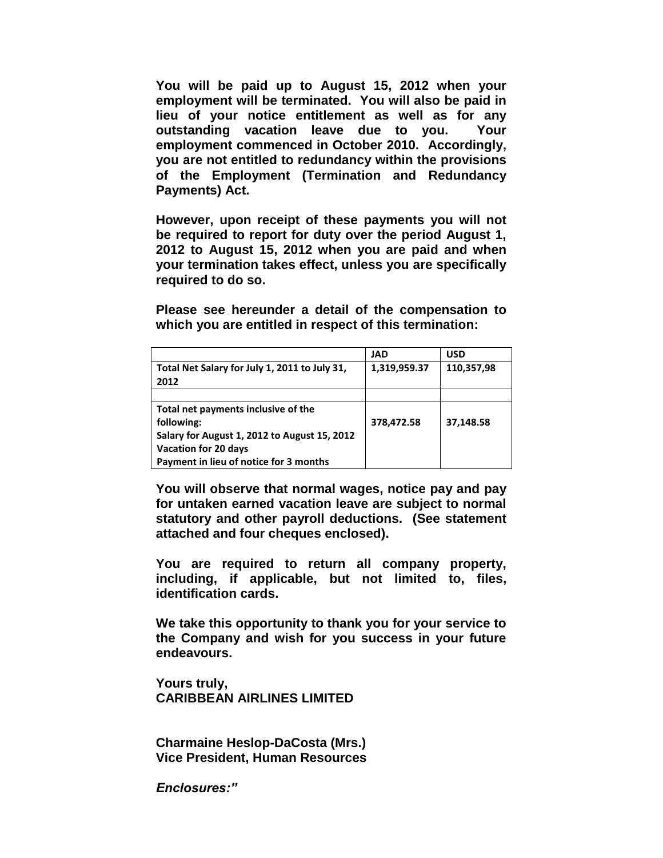**You will be paid up to August 15, 2012 when your employment will be terminated. You will also be paid in lieu of your notice entitlement as well as for any outstanding vacation leave due to you. Your employment commenced in October 2010. Accordingly, you are not entitled to redundancy within the provisions of the Employment (Termination and Redundancy Payments) Act.**

**However, upon receipt of these payments you will not be required to report for duty over the period August 1, 2012 to August 15, 2012 when you are paid and when your termination takes effect, unless you are specifically required to do so.**

**Please see hereunder a detail of the compensation to which you are entitled in respect of this termination:**

|                                               | JAD          | USD        |
|-----------------------------------------------|--------------|------------|
| Total Net Salary for July 1, 2011 to July 31, | 1,319,959.37 | 110,357,98 |
| 2012                                          |              |            |
|                                               |              |            |
| Total net payments inclusive of the           |              |            |
| following:                                    | 378,472.58   | 37,148.58  |
| Salary for August 1, 2012 to August 15, 2012  |              |            |
| Vacation for 20 days                          |              |            |
| Payment in lieu of notice for 3 months        |              |            |

**You will observe that normal wages, notice pay and pay for untaken earned vacation leave are subject to normal statutory and other payroll deductions. (See statement attached and four cheques enclosed).**

**You are required to return all company property, including, if applicable, but not limited to, files, identification cards.**

**We take this opportunity to thank you for your service to the Company and wish for you success in your future endeavours.**

**Yours truly, CARIBBEAN AIRLINES LIMITED**

**Charmaine Heslop-DaCosta (Mrs.) Vice President, Human Resources**

*Enclosures:"*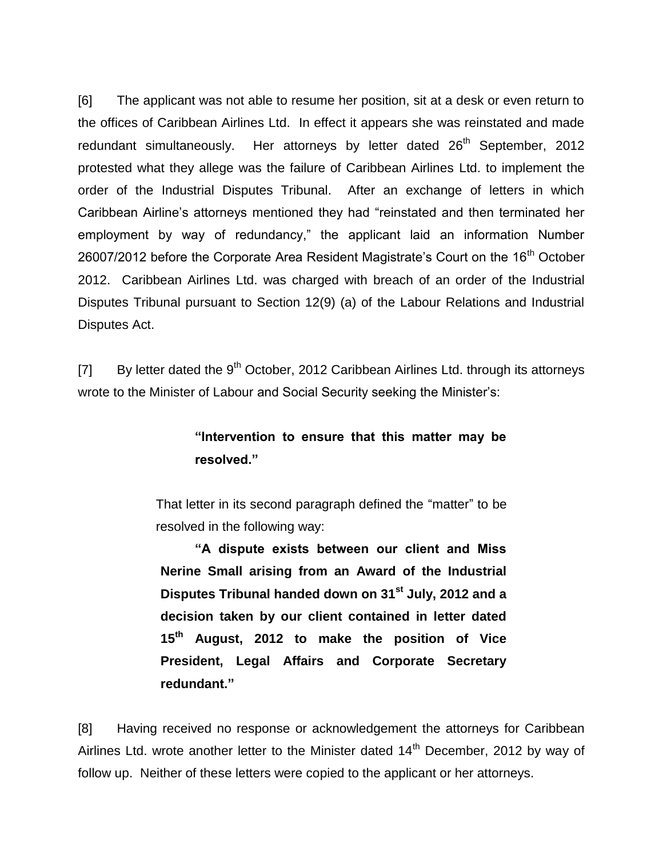[6] The applicant was not able to resume her position, sit at a desk or even return to the offices of Caribbean Airlines Ltd. In effect it appears she was reinstated and made redundant simultaneously. Her attorneys by letter dated  $26<sup>th</sup>$  September, 2012 protested what they allege was the failure of Caribbean Airlines Ltd. to implement the order of the Industrial Disputes Tribunal. After an exchange of letters in which Caribbean Airline"s attorneys mentioned they had "reinstated and then terminated her employment by way of redundancy," the applicant laid an information Number 26007/2012 before the Corporate Area Resident Magistrate's Court on the  $16<sup>th</sup>$  October 2012. Caribbean Airlines Ltd. was charged with breach of an order of the Industrial Disputes Tribunal pursuant to Section 12(9) (a) of the Labour Relations and Industrial Disputes Act.

[7] By letter dated the  $9<sup>th</sup>$  October, 2012 Caribbean Airlines Ltd. through its attorneys wrote to the Minister of Labour and Social Security seeking the Minister"s:

### **"Intervention to ensure that this matter may be resolved."**

That letter in its second paragraph defined the "matter" to be resolved in the following way:

**"A dispute exists between our client and Miss Nerine Small arising from an Award of the Industrial Disputes Tribunal handed down on 31st July, 2012 and a decision taken by our client contained in letter dated 15th August, 2012 to make the position of Vice President, Legal Affairs and Corporate Secretary redundant."**

[8] Having received no response or acknowledgement the attorneys for Caribbean Airlines Ltd. wrote another letter to the Minister dated  $14<sup>th</sup>$  December, 2012 by way of follow up. Neither of these letters were copied to the applicant or her attorneys.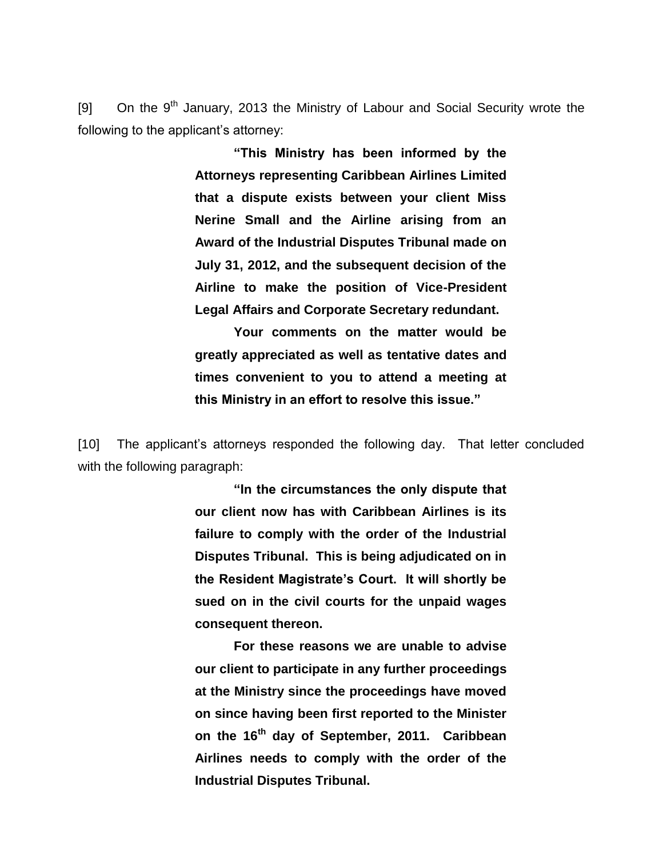[9] On the  $9<sup>th</sup>$  January, 2013 the Ministry of Labour and Social Security wrote the following to the applicant's attorney:

> **"This Ministry has been informed by the Attorneys representing Caribbean Airlines Limited that a dispute exists between your client Miss Nerine Small and the Airline arising from an Award of the Industrial Disputes Tribunal made on July 31, 2012, and the subsequent decision of the Airline to make the position of Vice-President Legal Affairs and Corporate Secretary redundant.**

> **Your comments on the matter would be greatly appreciated as well as tentative dates and times convenient to you to attend a meeting at this Ministry in an effort to resolve this issue."**

[10] The applicant's attorneys responded the following day. That letter concluded with the following paragraph:

> **"In the circumstances the only dispute that our client now has with Caribbean Airlines is its failure to comply with the order of the Industrial Disputes Tribunal. This is being adjudicated on in the Resident Magistrate"s Court. It will shortly be sued on in the civil courts for the unpaid wages consequent thereon.**

> **For these reasons we are unable to advise our client to participate in any further proceedings at the Ministry since the proceedings have moved on since having been first reported to the Minister on the 16th day of September, 2011. Caribbean Airlines needs to comply with the order of the Industrial Disputes Tribunal.**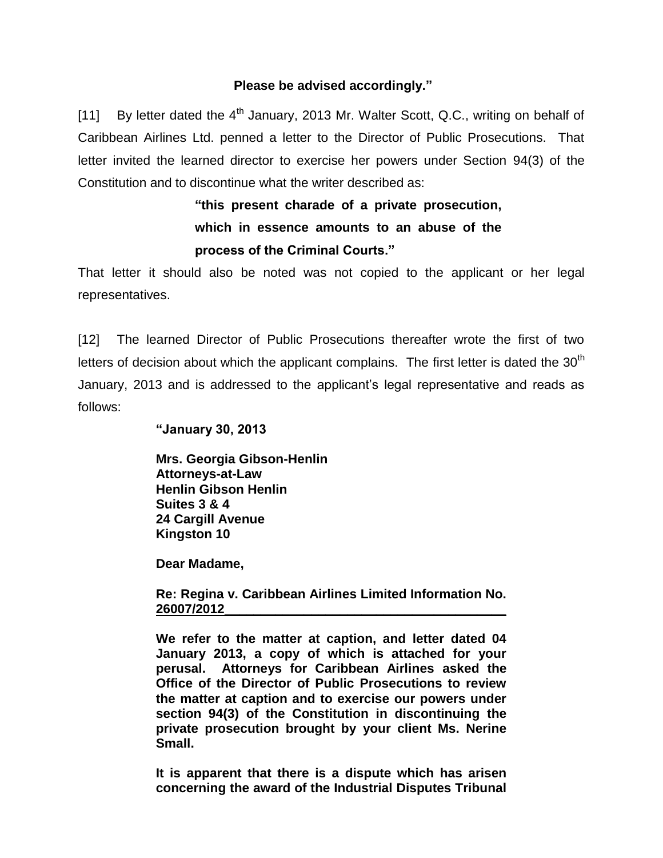#### **Please be advised accordingly."**

[11] By letter dated the  $4<sup>th</sup>$  January, 2013 Mr. Walter Scott, Q.C., writing on behalf of Caribbean Airlines Ltd. penned a letter to the Director of Public Prosecutions. That letter invited the learned director to exercise her powers under Section 94(3) of the Constitution and to discontinue what the writer described as:

> **"this present charade of a private prosecution, which in essence amounts to an abuse of the process of the Criminal Courts."**

That letter it should also be noted was not copied to the applicant or her legal representatives.

[12] The learned Director of Public Prosecutions thereafter wrote the first of two letters of decision about which the applicant complains. The first letter is dated the  $30<sup>th</sup>$ January, 2013 and is addressed to the applicant"s legal representative and reads as follows:

**"January 30, 2013**

**Mrs. Georgia Gibson-Henlin Attorneys-at-Law Henlin Gibson Henlin Suites 3 & 4 24 Cargill Avenue Kingston 10**

**Dear Madame,**

**Re: Regina v. Caribbean Airlines Limited Information No. 26007/2012\_\_\_\_\_\_\_\_\_\_\_\_\_\_\_\_\_\_\_\_\_\_\_\_\_\_\_\_\_\_\_\_\_\_\_\_\_\_\_**

**We refer to the matter at caption, and letter dated 04 January 2013, a copy of which is attached for your perusal. Attorneys for Caribbean Airlines asked the Office of the Director of Public Prosecutions to review the matter at caption and to exercise our powers under section 94(3) of the Constitution in discontinuing the private prosecution brought by your client Ms. Nerine Small.**

**It is apparent that there is a dispute which has arisen concerning the award of the Industrial Disputes Tribunal**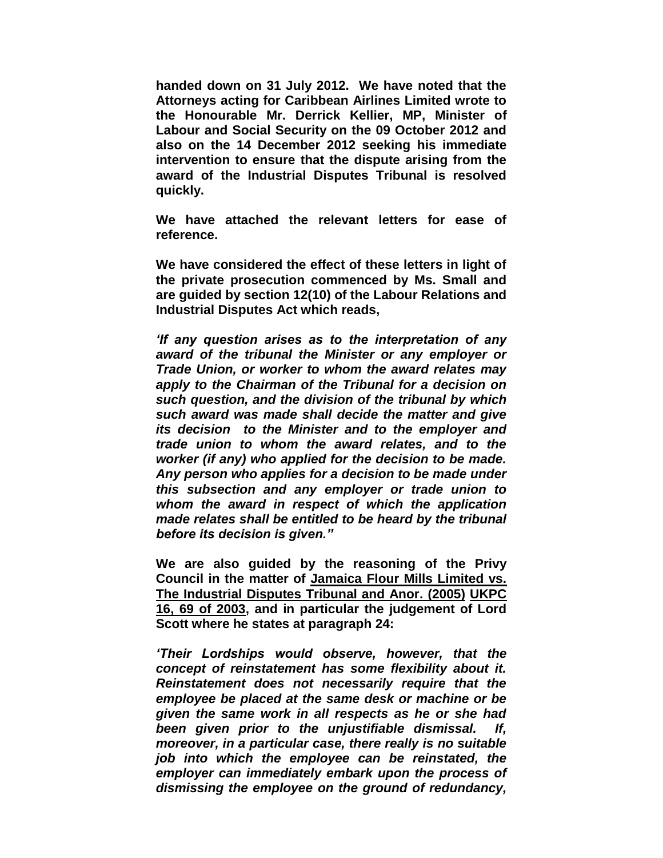**handed down on 31 July 2012. We have noted that the Attorneys acting for Caribbean Airlines Limited wrote to the Honourable Mr. Derrick Kellier, MP, Minister of Labour and Social Security on the 09 October 2012 and also on the 14 December 2012 seeking his immediate intervention to ensure that the dispute arising from the award of the Industrial Disputes Tribunal is resolved quickly.**

**We have attached the relevant letters for ease of reference.**

**We have considered the effect of these letters in light of the private prosecution commenced by Ms. Small and are guided by section 12(10) of the Labour Relations and Industrial Disputes Act which reads,**

*'If any question arises as to the interpretation of any award of the tribunal the Minister or any employer or Trade Union, or worker to whom the award relates may apply to the Chairman of the Tribunal for a decision on such question, and the division of the tribunal by which such award was made shall decide the matter and give its decision to the Minister and to the employer and trade union to whom the award relates, and to the worker (if any) who applied for the decision to be made. Any person who applies for a decision to be made under this subsection and any employer or trade union to whom the award in respect of which the application made relates shall be entitled to be heard by the tribunal before its decision is given."*

**We are also guided by the reasoning of the Privy Council in the matter of Jamaica Flour Mills Limited vs. The Industrial Disputes Tribunal and Anor. (2005) UKPC 16, 69 of 2003, and in particular the judgement of Lord Scott where he states at paragraph 24:**

*'Their Lordships would observe, however, that the concept of reinstatement has some flexibility about it. Reinstatement does not necessarily require that the employee be placed at the same desk or machine or be given the same work in all respects as he or she had been given prior to the unjustifiable dismissal. If, moreover, in a particular case, there really is no suitable job into which the employee can be reinstated, the employer can immediately embark upon the process of dismissing the employee on the ground of redundancy,*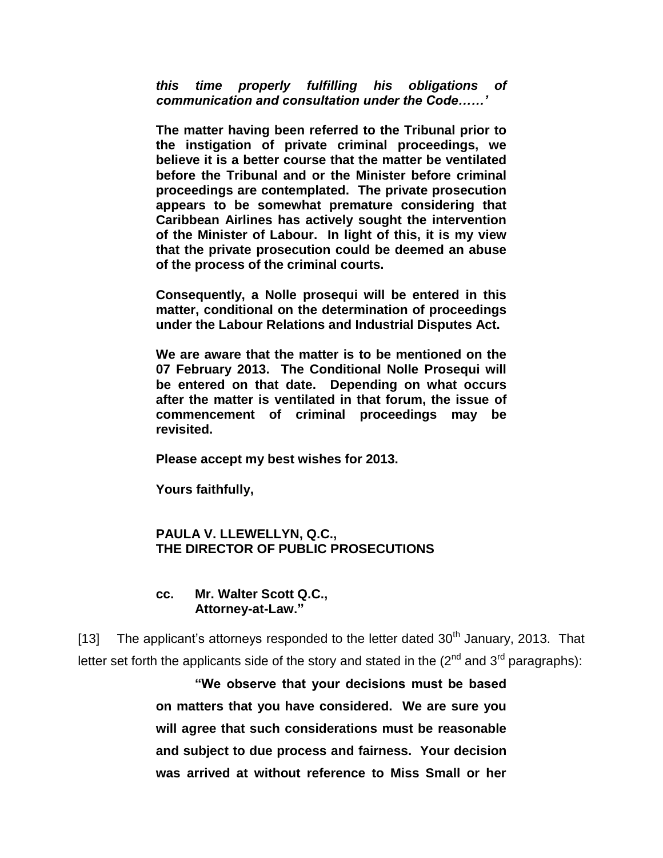*this time properly fulfilling his obligations of communication and consultation under the Code……'*

**The matter having been referred to the Tribunal prior to the instigation of private criminal proceedings, we believe it is a better course that the matter be ventilated before the Tribunal and or the Minister before criminal proceedings are contemplated. The private prosecution appears to be somewhat premature considering that Caribbean Airlines has actively sought the intervention of the Minister of Labour. In light of this, it is my view that the private prosecution could be deemed an abuse of the process of the criminal courts.**

**Consequently, a Nolle prosequi will be entered in this matter, conditional on the determination of proceedings under the Labour Relations and Industrial Disputes Act.**

**We are aware that the matter is to be mentioned on the 07 February 2013. The Conditional Nolle Prosequi will be entered on that date. Depending on what occurs after the matter is ventilated in that forum, the issue of commencement of criminal proceedings may be revisited.**

**Please accept my best wishes for 2013.**

**Yours faithfully,**

#### **PAULA V. LLEWELLYN, Q.C., THE DIRECTOR OF PUBLIC PROSECUTIONS**

#### **cc. Mr. Walter Scott Q.C., Attorney-at-Law."**

[13] The applicant's attorneys responded to the letter dated  $30<sup>th</sup>$  January, 2013. That letter set forth the applicants side of the story and stated in the  $(2^{nd}$  and  $3^{rd}$  paragraphs):

> **"We observe that your decisions must be based on matters that you have considered. We are sure you will agree that such considerations must be reasonable and subject to due process and fairness. Your decision was arrived at without reference to Miss Small or her**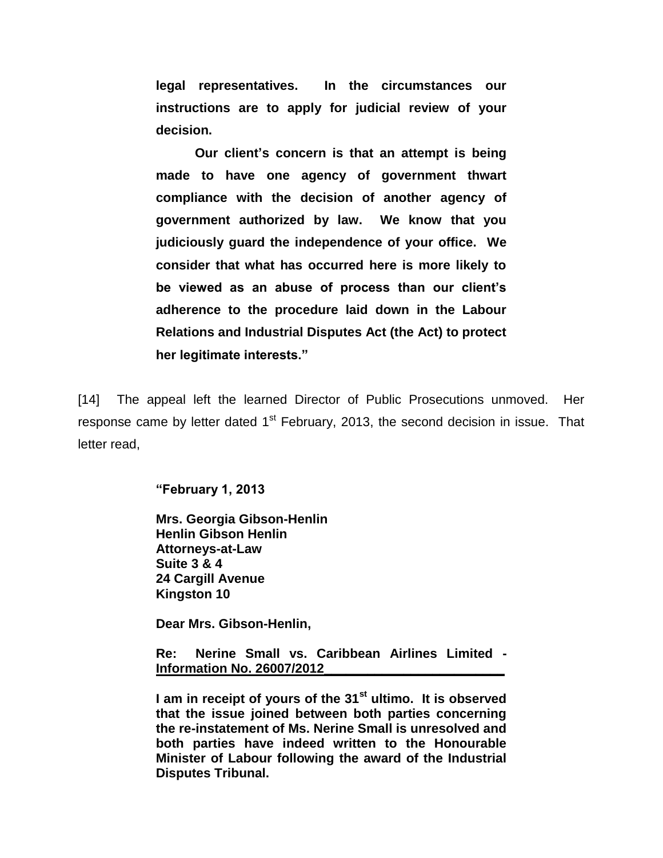**legal representatives. In the circumstances our instructions are to apply for judicial review of your decision.**

**Our client"s concern is that an attempt is being made to have one agency of government thwart compliance with the decision of another agency of government authorized by law. We know that you judiciously guard the independence of your office. We consider that what has occurred here is more likely to be viewed as an abuse of process than our client"s adherence to the procedure laid down in the Labour Relations and Industrial Disputes Act (the Act) to protect her legitimate interests."**

[14] The appeal left the learned Director of Public Prosecutions unmoved. Her response came by letter dated  $1<sup>st</sup>$  February, 2013, the second decision in issue. That letter read,

**"February 1, 2013**

**Mrs. Georgia Gibson-Henlin Henlin Gibson Henlin Attorneys-at-Law Suite 3 & 4 24 Cargill Avenue Kingston 10**

**Dear Mrs. Gibson-Henlin,**

**Re: Nerine Small vs. Caribbean Airlines Limited - Information No. 26007/2012\_\_\_\_\_\_\_\_\_\_\_\_\_\_\_\_\_\_\_\_\_\_\_\_\_**

**I am in receipt of yours of the 31st ultimo. It is observed that the issue joined between both parties concerning the re-instatement of Ms. Nerine Small is unresolved and both parties have indeed written to the Honourable Minister of Labour following the award of the Industrial Disputes Tribunal.**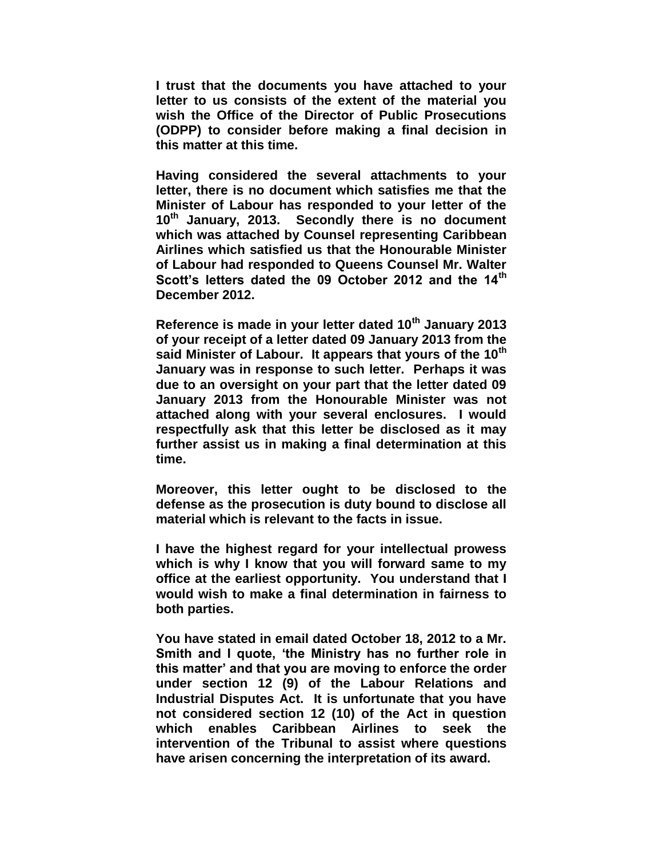**I trust that the documents you have attached to your letter to us consists of the extent of the material you wish the Office of the Director of Public Prosecutions (ODPP) to consider before making a final decision in this matter at this time.**

**Having considered the several attachments to your letter, there is no document which satisfies me that the Minister of Labour has responded to your letter of the 10th January, 2013. Secondly there is no document which was attached by Counsel representing Caribbean Airlines which satisfied us that the Honourable Minister of Labour had responded to Queens Counsel Mr. Walter Scott"s letters dated the 09 October 2012 and the 14th December 2012.**

**Reference is made in your letter dated 10th January 2013 of your receipt of a letter dated 09 January 2013 from the said Minister of Labour. It appears that yours of the 10th January was in response to such letter. Perhaps it was due to an oversight on your part that the letter dated 09 January 2013 from the Honourable Minister was not attached along with your several enclosures. I would respectfully ask that this letter be disclosed as it may further assist us in making a final determination at this time.**

**Moreover, this letter ought to be disclosed to the defense as the prosecution is duty bound to disclose all material which is relevant to the facts in issue.**

**I have the highest regard for your intellectual prowess which is why I know that you will forward same to my office at the earliest opportunity. You understand that I would wish to make a final determination in fairness to both parties.**

**You have stated in email dated October 18, 2012 to a Mr. Smith and I quote, "the Ministry has no further role in this matter" and that you are moving to enforce the order under section 12 (9) of the Labour Relations and Industrial Disputes Act. It is unfortunate that you have not considered section 12 (10) of the Act in question which enables Caribbean Airlines to seek the intervention of the Tribunal to assist where questions have arisen concerning the interpretation of its award.**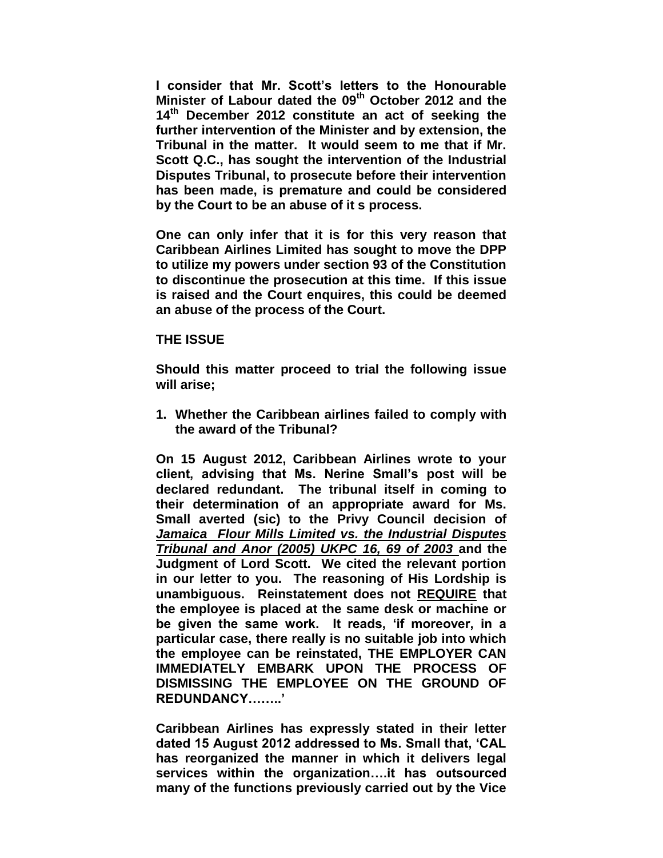**I consider that Mr. Scott"s letters to the Honourable Minister of Labour dated the 09th October 2012 and the 14th December 2012 constitute an act of seeking the further intervention of the Minister and by extension, the Tribunal in the matter. It would seem to me that if Mr. Scott Q.C., has sought the intervention of the Industrial Disputes Tribunal, to prosecute before their intervention has been made, is premature and could be considered by the Court to be an abuse of it s process.**

**One can only infer that it is for this very reason that Caribbean Airlines Limited has sought to move the DPP to utilize my powers under section 93 of the Constitution to discontinue the prosecution at this time. If this issue is raised and the Court enquires, this could be deemed an abuse of the process of the Court.**

#### **THE ISSUE**

**Should this matter proceed to trial the following issue will arise;**

**1. Whether the Caribbean airlines failed to comply with the award of the Tribunal?**

**On 15 August 2012, Caribbean Airlines wrote to your client, advising that Ms. Nerine Small"s post will be declared redundant. The tribunal itself in coming to their determination of an appropriate award for Ms. Small averted (sic) to the Privy Council decision of**  *Jamaica Flour Mills Limited vs. the Industrial Disputes Tribunal and Anor (2005) UKPC 16, 69 of 2003* **and the Judgment of Lord Scott. We cited the relevant portion in our letter to you. The reasoning of His Lordship is unambiguous. Reinstatement does not REQUIRE that the employee is placed at the same desk or machine or be given the same work. It reads, "if moreover, in a particular case, there really is no suitable job into which the employee can be reinstated, THE EMPLOYER CAN IMMEDIATELY EMBARK UPON THE PROCESS OF DISMISSING THE EMPLOYEE ON THE GROUND OF REDUNDANCY…….."**

**Caribbean Airlines has expressly stated in their letter dated 15 August 2012 addressed to Ms. Small that, "CAL has reorganized the manner in which it delivers legal services within the organization….it has outsourced many of the functions previously carried out by the Vice**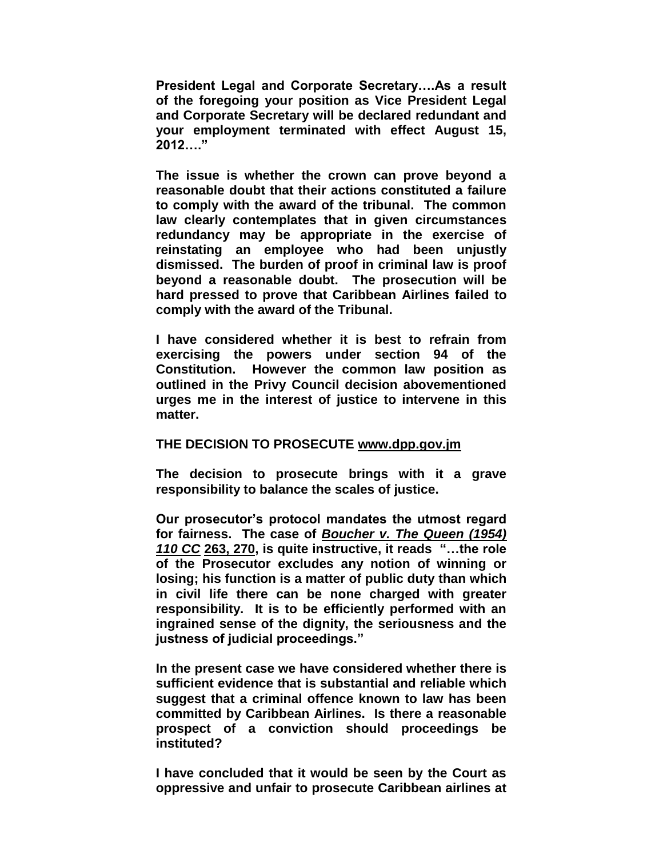**President Legal and Corporate Secretary….As a result of the foregoing your position as Vice President Legal and Corporate Secretary will be declared redundant and your employment terminated with effect August 15, 2012…."**

**The issue is whether the crown can prove beyond a reasonable doubt that their actions constituted a failure to comply with the award of the tribunal. The common law clearly contemplates that in given circumstances redundancy may be appropriate in the exercise of reinstating an employee who had been unjustly dismissed. The burden of proof in criminal law is proof beyond a reasonable doubt. The prosecution will be hard pressed to prove that Caribbean Airlines failed to comply with the award of the Tribunal.**

**I have considered whether it is best to refrain from exercising the powers under section 94 of the Constitution. However the common law position as outlined in the Privy Council decision abovementioned urges me in the interest of justice to intervene in this matter.**

#### **THE DECISION TO PROSECUTE [www.dpp.gov.jm](http://www.dpp.gov.jm/)**

**The decision to prosecute brings with it a grave responsibility to balance the scales of justice.**

**Our prosecutor"s protocol mandates the utmost regard for fairness. The case of** *Boucher v. The Queen (1954) 110 CC* **263, 270, is quite instructive, it reads "…the role of the Prosecutor excludes any notion of winning or losing; his function is a matter of public duty than which in civil life there can be none charged with greater responsibility. It is to be efficiently performed with an ingrained sense of the dignity, the seriousness and the justness of judicial proceedings."**

**In the present case we have considered whether there is sufficient evidence that is substantial and reliable which suggest that a criminal offence known to law has been committed by Caribbean Airlines. Is there a reasonable prospect of a conviction should proceedings be instituted?**

**I have concluded that it would be seen by the Court as oppressive and unfair to prosecute Caribbean airlines at**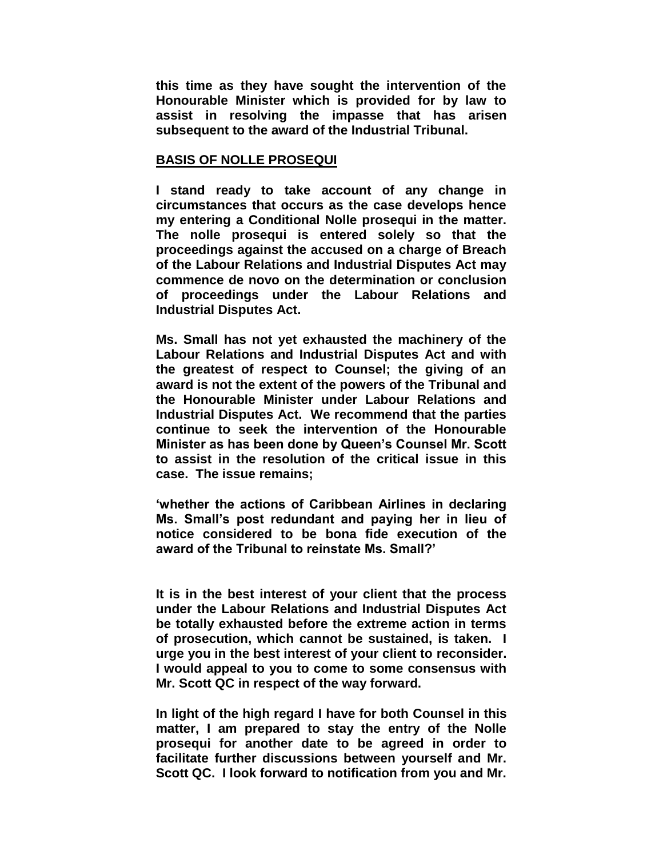**this time as they have sought the intervention of the Honourable Minister which is provided for by law to assist in resolving the impasse that has arisen subsequent to the award of the Industrial Tribunal.**

#### **BASIS OF NOLLE PROSEQUI**

**I stand ready to take account of any change in circumstances that occurs as the case develops hence my entering a Conditional Nolle prosequi in the matter. The nolle prosequi is entered solely so that the proceedings against the accused on a charge of Breach of the Labour Relations and Industrial Disputes Act may commence de novo on the determination or conclusion of proceedings under the Labour Relations and Industrial Disputes Act.**

**Ms. Small has not yet exhausted the machinery of the Labour Relations and Industrial Disputes Act and with the greatest of respect to Counsel; the giving of an award is not the extent of the powers of the Tribunal and the Honourable Minister under Labour Relations and Industrial Disputes Act. We recommend that the parties continue to seek the intervention of the Honourable Minister as has been done by Queen"s Counsel Mr. Scott to assist in the resolution of the critical issue in this case. The issue remains;**

**"whether the actions of Caribbean Airlines in declaring Ms. Small"s post redundant and paying her in lieu of notice considered to be bona fide execution of the award of the Tribunal to reinstate Ms. Small?"**

**It is in the best interest of your client that the process under the Labour Relations and Industrial Disputes Act be totally exhausted before the extreme action in terms of prosecution, which cannot be sustained, is taken. I urge you in the best interest of your client to reconsider. I would appeal to you to come to some consensus with Mr. Scott QC in respect of the way forward.**

**In light of the high regard I have for both Counsel in this matter, I am prepared to stay the entry of the Nolle prosequi for another date to be agreed in order to facilitate further discussions between yourself and Mr. Scott QC. I look forward to notification from you and Mr.**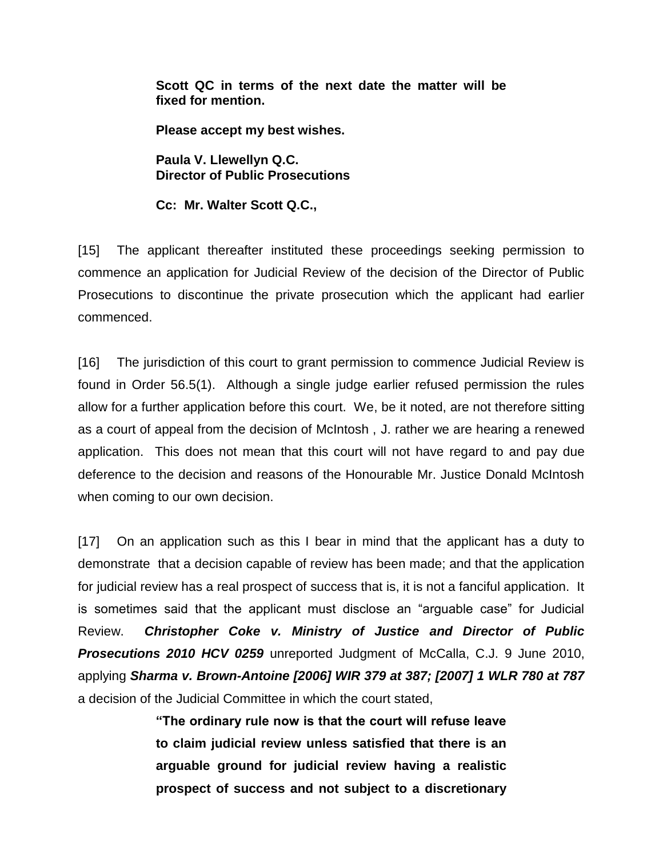**Scott QC in terms of the next date the matter will be fixed for mention.**

**Please accept my best wishes.**

**Paula V. Llewellyn Q.C. Director of Public Prosecutions**

**Cc: Mr. Walter Scott Q.C.,**

[15] The applicant thereafter instituted these proceedings seeking permission to commence an application for Judicial Review of the decision of the Director of Public Prosecutions to discontinue the private prosecution which the applicant had earlier commenced.

[16] The jurisdiction of this court to grant permission to commence Judicial Review is found in Order 56.5(1). Although a single judge earlier refused permission the rules allow for a further application before this court. We, be it noted, are not therefore sitting as a court of appeal from the decision of McIntosh , J. rather we are hearing a renewed application. This does not mean that this court will not have regard to and pay due deference to the decision and reasons of the Honourable Mr. Justice Donald McIntosh when coming to our own decision.

[17] On an application such as this I bear in mind that the applicant has a duty to demonstrate that a decision capable of review has been made; and that the application for judicial review has a real prospect of success that is, it is not a fanciful application. It is sometimes said that the applicant must disclose an "arguable case" for Judicial Review. *Christopher Coke v. Ministry of Justice and Director of Public Prosecutions 2010 HCV 0259* unreported Judgment of McCalla, C.J. 9 June 2010, applying *Sharma v. Brown-Antoine [2006] WIR 379 at 387; [2007] 1 WLR 780 at 787* a decision of the Judicial Committee in which the court stated,

> **"The ordinary rule now is that the court will refuse leave to claim judicial review unless satisfied that there is an arguable ground for judicial review having a realistic prospect of success and not subject to a discretionary**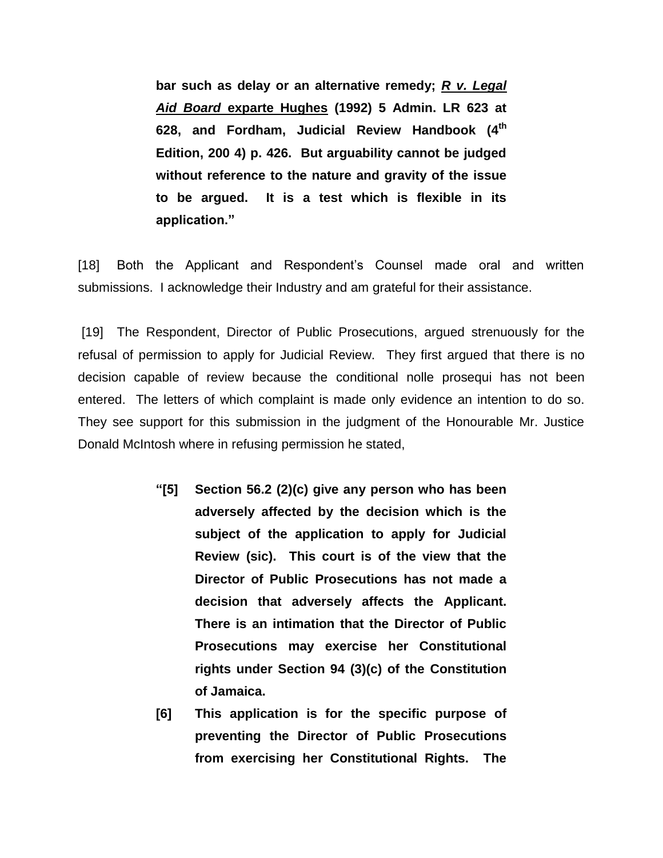**bar such as delay or an alternative remedy;** *R v. Legal Aid Board* **exparte Hughes (1992) 5 Admin. LR 623 at 628, and Fordham, Judicial Review Handbook (4th Edition, 200 4) p. 426. But arguability cannot be judged without reference to the nature and gravity of the issue to be argued. It is a test which is flexible in its application."**

[18] Both the Applicant and Respondent's Counsel made oral and written submissions. I acknowledge their Industry and am grateful for their assistance.

[19] The Respondent, Director of Public Prosecutions, argued strenuously for the refusal of permission to apply for Judicial Review. They first argued that there is no decision capable of review because the conditional nolle prosequi has not been entered. The letters of which complaint is made only evidence an intention to do so. They see support for this submission in the judgment of the Honourable Mr. Justice Donald McIntosh where in refusing permission he stated,

- **"[5] Section 56.2 (2)(c) give any person who has been adversely affected by the decision which is the subject of the application to apply for Judicial Review (sic). This court is of the view that the Director of Public Prosecutions has not made a decision that adversely affects the Applicant. There is an intimation that the Director of Public Prosecutions may exercise her Constitutional rights under Section 94 (3)(c) of the Constitution of Jamaica.**
- **[6] This application is for the specific purpose of preventing the Director of Public Prosecutions from exercising her Constitutional Rights. The**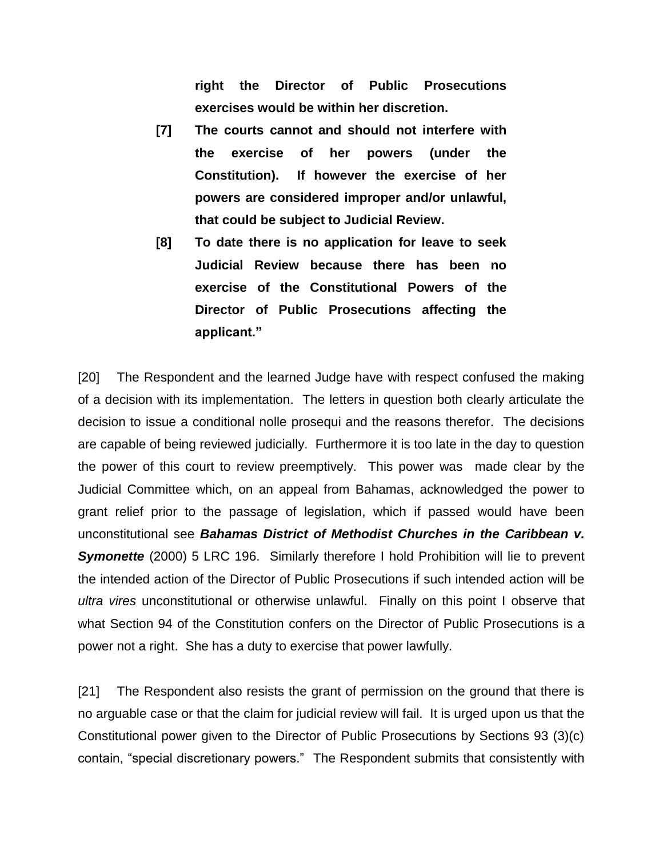**right the Director of Public Prosecutions exercises would be within her discretion.**

- **[7] The courts cannot and should not interfere with the exercise of her powers (under the Constitution). If however the exercise of her powers are considered improper and/or unlawful, that could be subject to Judicial Review.**
- **[8] To date there is no application for leave to seek Judicial Review because there has been no exercise of the Constitutional Powers of the Director of Public Prosecutions affecting the applicant."**

[20] The Respondent and the learned Judge have with respect confused the making of a decision with its implementation. The letters in question both clearly articulate the decision to issue a conditional nolle prosequi and the reasons therefor. The decisions are capable of being reviewed judicially. Furthermore it is too late in the day to question the power of this court to review preemptively. This power was made clear by the Judicial Committee which, on an appeal from Bahamas, acknowledged the power to grant relief prior to the passage of legislation, which if passed would have been unconstitutional see *Bahamas District of Methodist Churches in the Caribbean v. Symonette* (2000) 5 LRC 196. Similarly therefore I hold Prohibition will lie to prevent the intended action of the Director of Public Prosecutions if such intended action will be *ultra vires* unconstitutional or otherwise unlawful. Finally on this point I observe that what Section 94 of the Constitution confers on the Director of Public Prosecutions is a power not a right. She has a duty to exercise that power lawfully.

[21] The Respondent also resists the grant of permission on the ground that there is no arguable case or that the claim for judicial review will fail. It is urged upon us that the Constitutional power given to the Director of Public Prosecutions by Sections 93 (3)(c) contain, "special discretionary powers." The Respondent submits that consistently with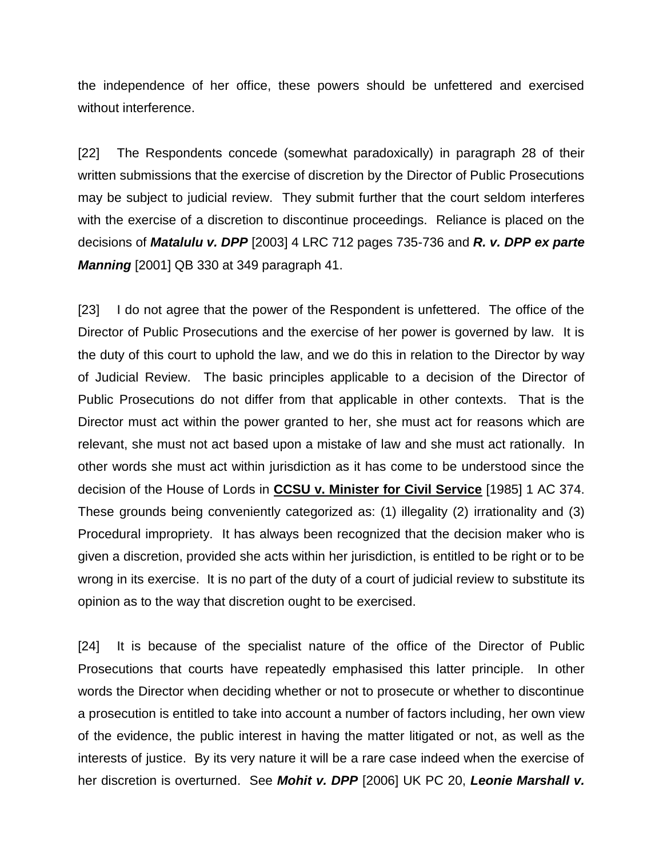the independence of her office, these powers should be unfettered and exercised without interference.

[22] The Respondents concede (somewhat paradoxically) in paragraph 28 of their written submissions that the exercise of discretion by the Director of Public Prosecutions may be subject to judicial review. They submit further that the court seldom interferes with the exercise of a discretion to discontinue proceedings. Reliance is placed on the decisions of *Matalulu v. DPP* [2003] 4 LRC 712 pages 735-736 and *R. v. DPP ex parte Manning* [2001] QB 330 at 349 paragraph 41.

[23] I do not agree that the power of the Respondent is unfettered. The office of the Director of Public Prosecutions and the exercise of her power is governed by law. It is the duty of this court to uphold the law, and we do this in relation to the Director by way of Judicial Review. The basic principles applicable to a decision of the Director of Public Prosecutions do not differ from that applicable in other contexts. That is the Director must act within the power granted to her, she must act for reasons which are relevant, she must not act based upon a mistake of law and she must act rationally. In other words she must act within jurisdiction as it has come to be understood since the decision of the House of Lords in **CCSU v. Minister for Civil Service** [1985] 1 AC 374. These grounds being conveniently categorized as: (1) illegality (2) irrationality and (3) Procedural impropriety. It has always been recognized that the decision maker who is given a discretion, provided she acts within her jurisdiction, is entitled to be right or to be wrong in its exercise. It is no part of the duty of a court of judicial review to substitute its opinion as to the way that discretion ought to be exercised.

[24] It is because of the specialist nature of the office of the Director of Public Prosecutions that courts have repeatedly emphasised this latter principle. In other words the Director when deciding whether or not to prosecute or whether to discontinue a prosecution is entitled to take into account a number of factors including, her own view of the evidence, the public interest in having the matter litigated or not, as well as the interests of justice. By its very nature it will be a rare case indeed when the exercise of her discretion is overturned. See *Mohit v. DPP* [2006] UK PC 20, *Leonie Marshall v.*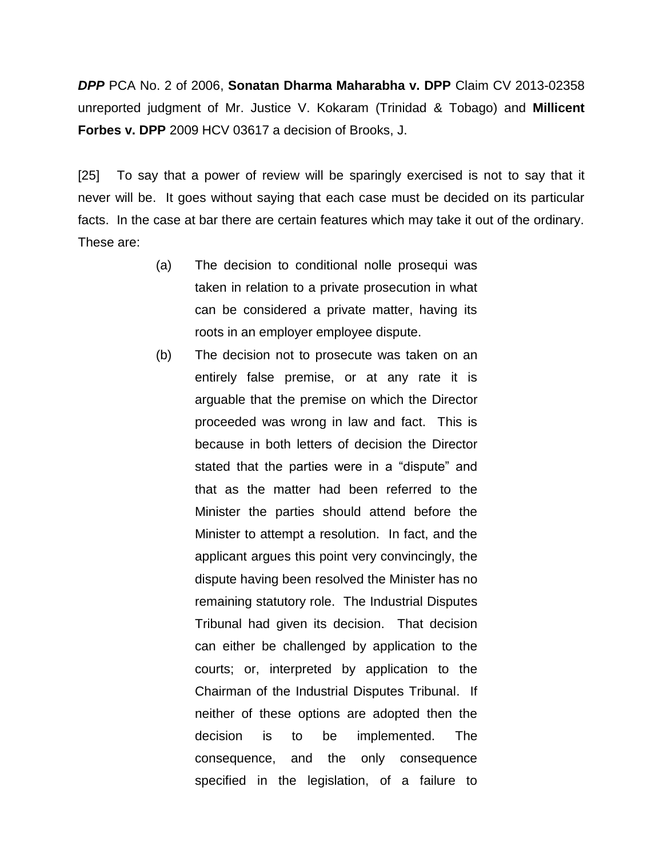*DPP* PCA No. 2 of 2006, **Sonatan Dharma Maharabha v. DPP** Claim CV 2013-02358 unreported judgment of Mr. Justice V. Kokaram (Trinidad & Tobago) and **Millicent Forbes v. DPP** 2009 HCV 03617 a decision of Brooks, J.

[25] To say that a power of review will be sparingly exercised is not to say that it never will be. It goes without saying that each case must be decided on its particular facts. In the case at bar there are certain features which may take it out of the ordinary. These are:

- (a) The decision to conditional nolle prosequi was taken in relation to a private prosecution in what can be considered a private matter, having its roots in an employer employee dispute.
- (b) The decision not to prosecute was taken on an entirely false premise, or at any rate it is arguable that the premise on which the Director proceeded was wrong in law and fact. This is because in both letters of decision the Director stated that the parties were in a "dispute" and that as the matter had been referred to the Minister the parties should attend before the Minister to attempt a resolution. In fact, and the applicant argues this point very convincingly, the dispute having been resolved the Minister has no remaining statutory role. The Industrial Disputes Tribunal had given its decision. That decision can either be challenged by application to the courts; or, interpreted by application to the Chairman of the Industrial Disputes Tribunal. If neither of these options are adopted then the decision is to be implemented. The consequence, and the only consequence specified in the legislation, of a failure to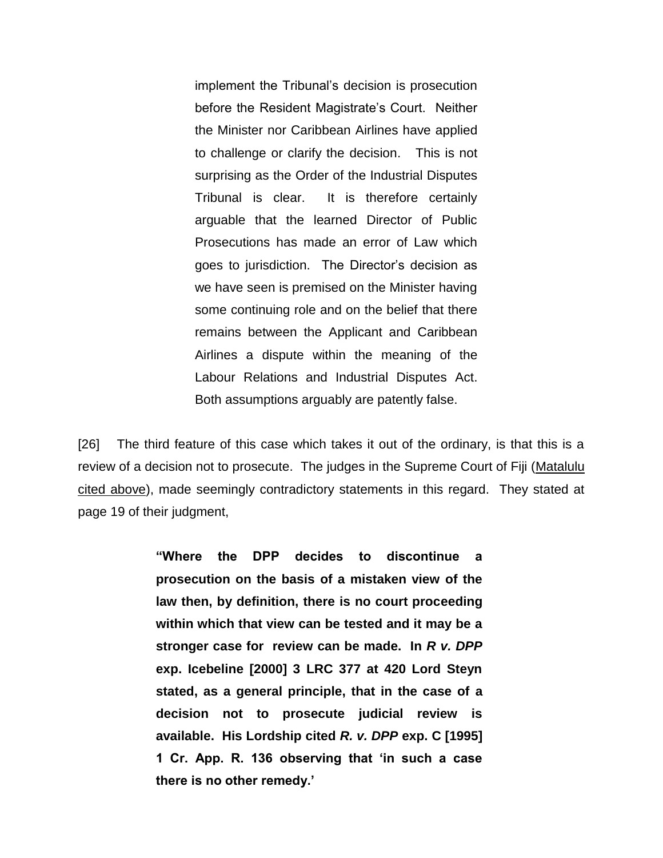implement the Tribunal"s decision is prosecution before the Resident Magistrate's Court. Neither the Minister nor Caribbean Airlines have applied to challenge or clarify the decision. This is not surprising as the Order of the Industrial Disputes Tribunal is clear. It is therefore certainly arguable that the learned Director of Public Prosecutions has made an error of Law which goes to jurisdiction. The Director"s decision as we have seen is premised on the Minister having some continuing role and on the belief that there remains between the Applicant and Caribbean Airlines a dispute within the meaning of the Labour Relations and Industrial Disputes Act. Both assumptions arguably are patently false.

[26] The third feature of this case which takes it out of the ordinary, is that this is a review of a decision not to prosecute. The judges in the Supreme Court of Fiji (Matalulu cited above), made seemingly contradictory statements in this regard. They stated at page 19 of their judgment,

> **"Where the DPP decides to discontinue a prosecution on the basis of a mistaken view of the law then, by definition, there is no court proceeding within which that view can be tested and it may be a stronger case for review can be made. In** *R v. DPP* **exp. Icebeline [2000] 3 LRC 377 at 420 Lord Steyn stated, as a general principle, that in the case of a decision not to prosecute judicial review is available. His Lordship cited** *R. v. DPP* **exp. C [1995] 1 Cr. App. R. 136 observing that "in such a case there is no other remedy."**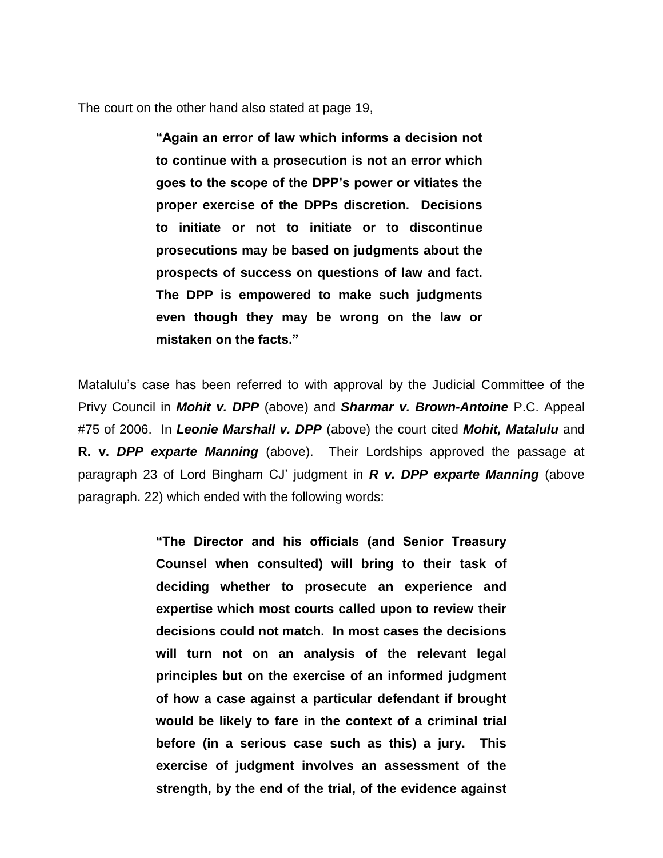The court on the other hand also stated at page 19,

**"Again an error of law which informs a decision not to continue with a prosecution is not an error which goes to the scope of the DPP"s power or vitiates the proper exercise of the DPPs discretion. Decisions to initiate or not to initiate or to discontinue prosecutions may be based on judgments about the prospects of success on questions of law and fact. The DPP is empowered to make such judgments even though they may be wrong on the law or mistaken on the facts."**

Matalulu"s case has been referred to with approval by the Judicial Committee of the Privy Council in *Mohit v. DPP* (above) and *Sharmar v. Brown-Antoine* P.C. Appeal #75 of 2006. In *Leonie Marshall v. DPP* (above) the court cited *Mohit, Matalulu* and **R. v.** *DPP exparte Manning* (above).Their Lordships approved the passage at paragraph 23 of Lord Bingham CJ" judgment in *R v. DPP exparte Manning* (above paragraph. 22) which ended with the following words:

> **"The Director and his officials (and Senior Treasury Counsel when consulted) will bring to their task of deciding whether to prosecute an experience and expertise which most courts called upon to review their decisions could not match. In most cases the decisions will turn not on an analysis of the relevant legal principles but on the exercise of an informed judgment of how a case against a particular defendant if brought would be likely to fare in the context of a criminal trial before (in a serious case such as this) a jury. This exercise of judgment involves an assessment of the strength, by the end of the trial, of the evidence against**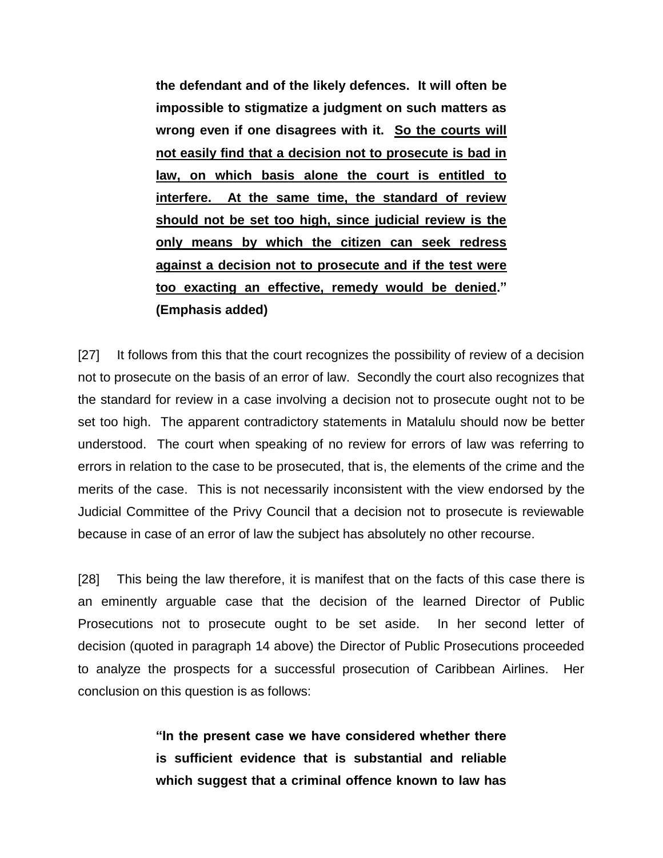**the defendant and of the likely defences. It will often be impossible to stigmatize a judgment on such matters as wrong even if one disagrees with it. So the courts will not easily find that a decision not to prosecute is bad in law, on which basis alone the court is entitled to interfere. At the same time, the standard of review should not be set too high, since judicial review is the only means by which the citizen can seek redress against a decision not to prosecute and if the test were too exacting an effective, remedy would be denied." (Emphasis added)**

[27] It follows from this that the court recognizes the possibility of review of a decision not to prosecute on the basis of an error of law. Secondly the court also recognizes that the standard for review in a case involving a decision not to prosecute ought not to be set too high. The apparent contradictory statements in Matalulu should now be better understood. The court when speaking of no review for errors of law was referring to errors in relation to the case to be prosecuted, that is, the elements of the crime and the merits of the case. This is not necessarily inconsistent with the view endorsed by the Judicial Committee of the Privy Council that a decision not to prosecute is reviewable because in case of an error of law the subject has absolutely no other recourse.

[28] This being the law therefore, it is manifest that on the facts of this case there is an eminently arguable case that the decision of the learned Director of Public Prosecutions not to prosecute ought to be set aside. In her second letter of decision (quoted in paragraph 14 above) the Director of Public Prosecutions proceeded to analyze the prospects for a successful prosecution of Caribbean Airlines. Her conclusion on this question is as follows:

> **"In the present case we have considered whether there is sufficient evidence that is substantial and reliable which suggest that a criminal offence known to law has**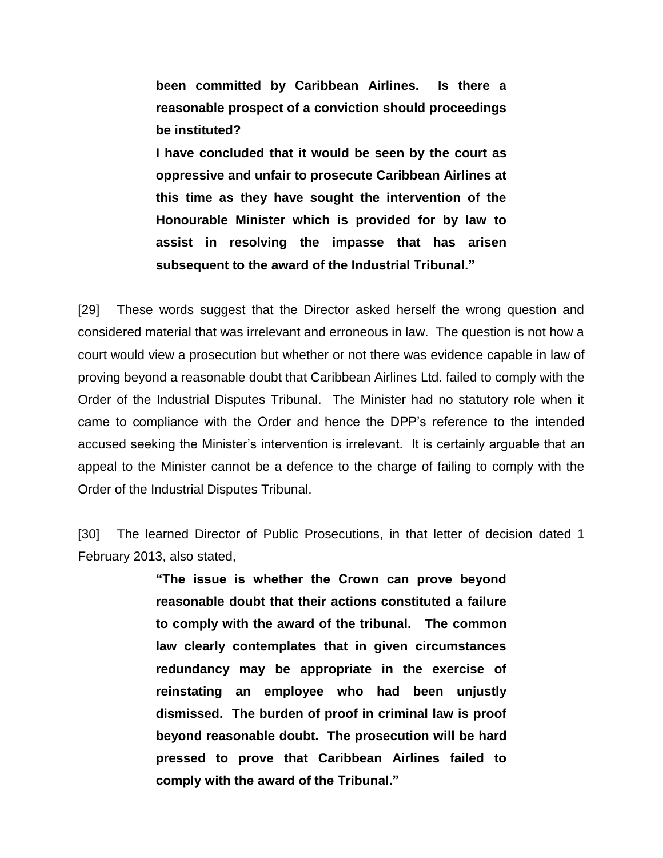**been committed by Caribbean Airlines. Is there a reasonable prospect of a conviction should proceedings be instituted?**

**I have concluded that it would be seen by the court as oppressive and unfair to prosecute Caribbean Airlines at this time as they have sought the intervention of the Honourable Minister which is provided for by law to assist in resolving the impasse that has arisen subsequent to the award of the Industrial Tribunal."**

[29] These words suggest that the Director asked herself the wrong question and considered material that was irrelevant and erroneous in law. The question is not how a court would view a prosecution but whether or not there was evidence capable in law of proving beyond a reasonable doubt that Caribbean Airlines Ltd. failed to comply with the Order of the Industrial Disputes Tribunal. The Minister had no statutory role when it came to compliance with the Order and hence the DPP"s reference to the intended accused seeking the Minister"s intervention is irrelevant. It is certainly arguable that an appeal to the Minister cannot be a defence to the charge of failing to comply with the Order of the Industrial Disputes Tribunal.

[30] The learned Director of Public Prosecutions, in that letter of decision dated 1 February 2013, also stated,

> **"The issue is whether the Crown can prove beyond reasonable doubt that their actions constituted a failure to comply with the award of the tribunal. The common law clearly contemplates that in given circumstances redundancy may be appropriate in the exercise of reinstating an employee who had been unjustly dismissed. The burden of proof in criminal law is proof beyond reasonable doubt. The prosecution will be hard pressed to prove that Caribbean Airlines failed to comply with the award of the Tribunal."**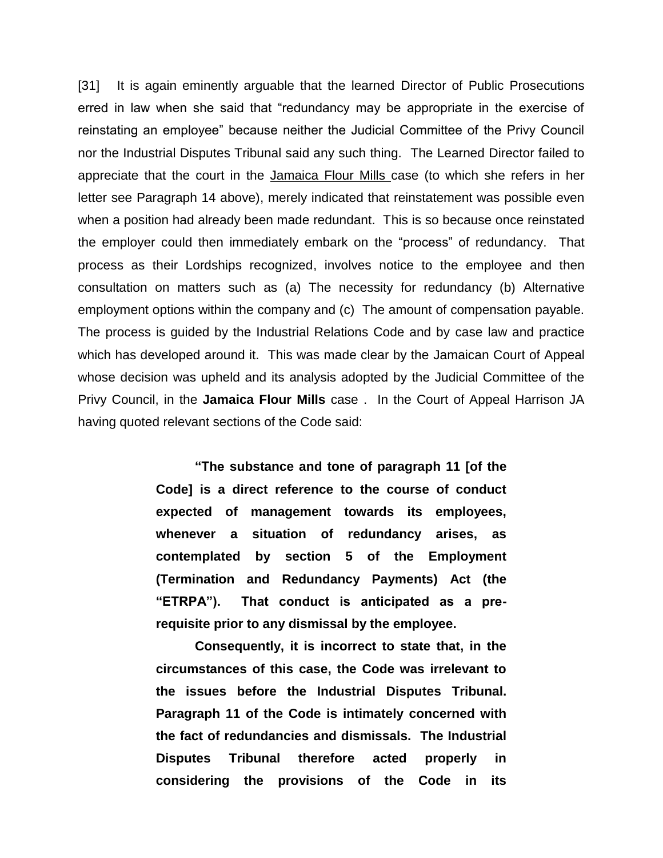[31] It is again eminently arguable that the learned Director of Public Prosecutions erred in law when she said that "redundancy may be appropriate in the exercise of reinstating an employee" because neither the Judicial Committee of the Privy Council nor the Industrial Disputes Tribunal said any such thing. The Learned Director failed to appreciate that the court in the Jamaica Flour Mills case (to which she refers in her letter see Paragraph 14 above), merely indicated that reinstatement was possible even when a position had already been made redundant. This is so because once reinstated the employer could then immediately embark on the "process" of redundancy. That process as their Lordships recognized, involves notice to the employee and then consultation on matters such as (a) The necessity for redundancy (b) Alternative employment options within the company and (c) The amount of compensation payable. The process is guided by the Industrial Relations Code and by case law and practice which has developed around it. This was made clear by the Jamaican Court of Appeal whose decision was upheld and its analysis adopted by the Judicial Committee of the Privy Council, in the **Jamaica Flour Mills** case . In the Court of Appeal Harrison JA having quoted relevant sections of the Code said:

> **"The substance and tone of paragraph 11 [of the Code] is a direct reference to the course of conduct expected of management towards its employees, whenever a situation of redundancy arises, as contemplated by section 5 of the Employment (Termination and Redundancy Payments) Act (the "ETRPA"). That conduct is anticipated as a prerequisite prior to any dismissal by the employee.**

> **Consequently, it is incorrect to state that, in the circumstances of this case, the Code was irrelevant to the issues before the Industrial Disputes Tribunal. Paragraph 11 of the Code is intimately concerned with the fact of redundancies and dismissals. The Industrial Disputes Tribunal therefore acted properly in considering the provisions of the Code in its**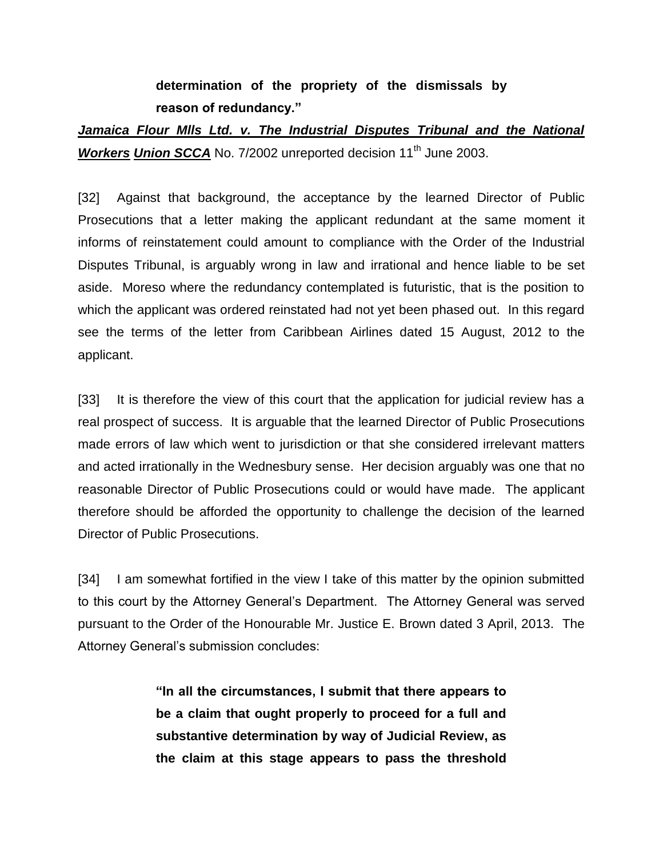### **determination of the propriety of the dismissals by reason of redundancy."**

## *Jamaica Flour Mlls Ltd. v. The Industrial Disputes Tribunal and the National Workers Union SCCA* No. 7/2002 unreported decision 11<sup>th</sup> June 2003.

[32] Against that background, the acceptance by the learned Director of Public Prosecutions that a letter making the applicant redundant at the same moment it informs of reinstatement could amount to compliance with the Order of the Industrial Disputes Tribunal, is arguably wrong in law and irrational and hence liable to be set aside. Moreso where the redundancy contemplated is futuristic, that is the position to which the applicant was ordered reinstated had not yet been phased out. In this regard see the terms of the letter from Caribbean Airlines dated 15 August, 2012 to the applicant.

[33] It is therefore the view of this court that the application for judicial review has a real prospect of success. It is arguable that the learned Director of Public Prosecutions made errors of law which went to jurisdiction or that she considered irrelevant matters and acted irrationally in the Wednesbury sense. Her decision arguably was one that no reasonable Director of Public Prosecutions could or would have made. The applicant therefore should be afforded the opportunity to challenge the decision of the learned Director of Public Prosecutions.

[34] I am somewhat fortified in the view I take of this matter by the opinion submitted to this court by the Attorney General"s Department. The Attorney General was served pursuant to the Order of the Honourable Mr. Justice E. Brown dated 3 April, 2013. The Attorney General's submission concludes:

> **"In all the circumstances, I submit that there appears to be a claim that ought properly to proceed for a full and substantive determination by way of Judicial Review, as the claim at this stage appears to pass the threshold**